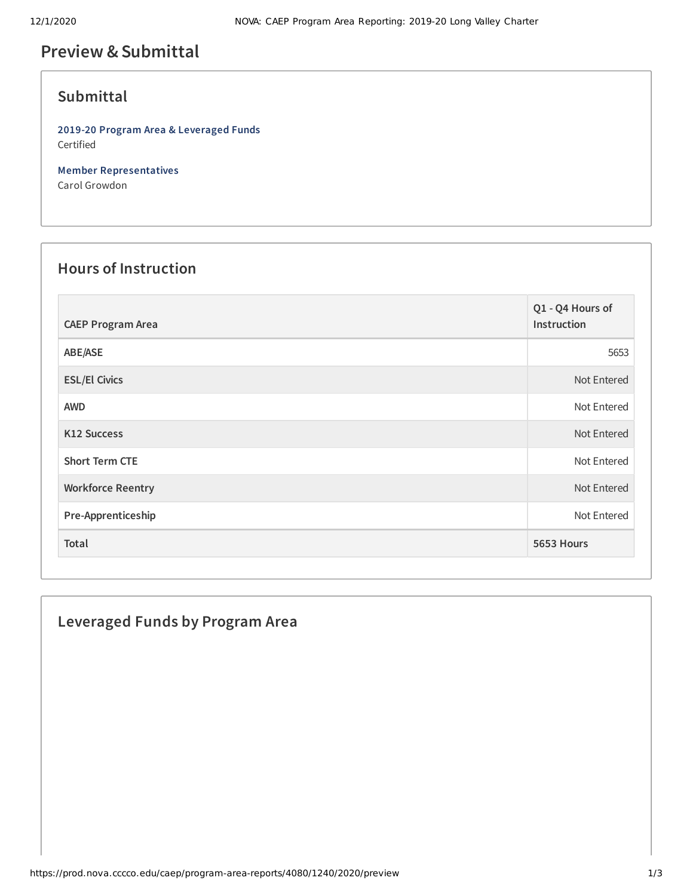# **Preview &Submittal**

# **Submittal**

**2019-20 Program Area & Leveraged Funds** Certified

**Member Representatives** Carol Growdon

#### **Hours of Instruction**

| <b>CAEP Program Area</b> | Q1 - Q4 Hours of<br>Instruction |
|--------------------------|---------------------------------|
| ABE/ASE                  | 5653                            |
| <b>ESL/El Civics</b>     | Not Entered                     |
| <b>AWD</b>               | Not Entered                     |
| <b>K12 Success</b>       | Not Entered                     |
| <b>Short Term CTE</b>    | Not Entered                     |
| <b>Workforce Reentry</b> | Not Entered                     |
| Pre-Apprenticeship       | Not Entered                     |
| Total                    | 5653 Hours                      |

## **Leveraged Funds by Program Area**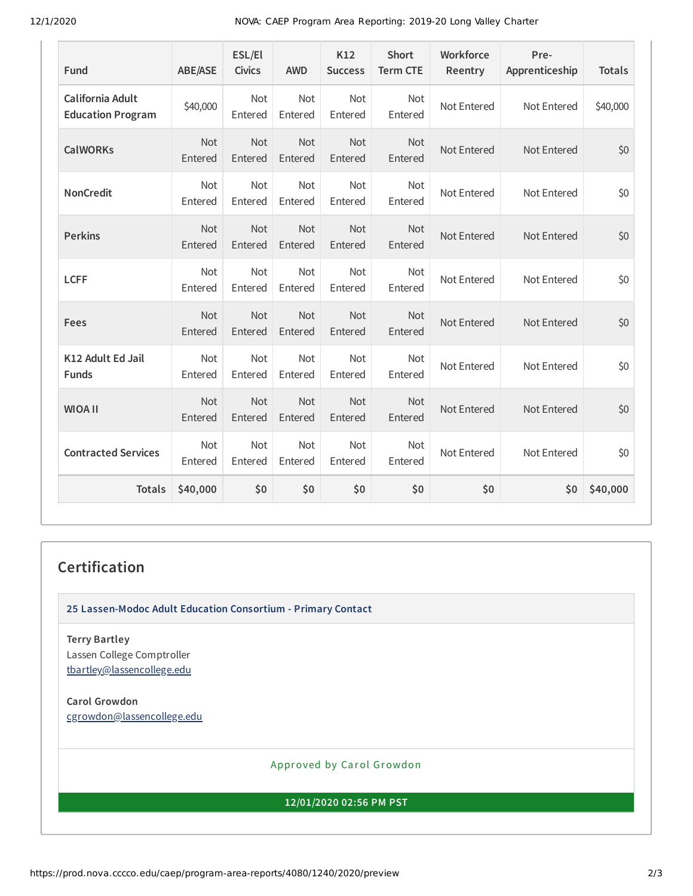12/1/2020 NOVA: CAEP Program Area Reporting: 2019-20 Long Valley Charter

| Fund                                         | <b>ABE/ASE</b>        | ESL/El<br><b>Civics</b> | <b>AWD</b>            | K12<br><b>Success</b> | <b>Short</b><br><b>Term CTE</b> | Workforce<br>Reentry | Pre-<br>Apprenticeship | <b>Totals</b> |
|----------------------------------------------|-----------------------|-------------------------|-----------------------|-----------------------|---------------------------------|----------------------|------------------------|---------------|
| California Adult<br><b>Education Program</b> | \$40,000              | <b>Not</b><br>Entered   | <b>Not</b><br>Entered | Not<br>Entered        | <b>Not</b><br>Entered           | Not Entered          | Not Entered            | \$40,000      |
| <b>CalWORKs</b>                              | Not<br>Entered        | Not<br>Entered          | Not<br>Entered        | Not<br>Entered        | <b>Not</b><br>Entered           | Not Entered          | Not Entered            | \$0           |
| <b>NonCredit</b>                             | Not<br>Entered        | Not<br>Entered          | Not<br>Entered        | Not<br>Entered        | Not<br>Entered                  | Not Entered          | Not Entered            | \$0           |
| <b>Perkins</b>                               | <b>Not</b><br>Entered | Not<br>Entered          | <b>Not</b><br>Entered | Not<br>Entered        | <b>Not</b><br>Entered           | Not Entered          | Not Entered            | \$0           |
| <b>LCFF</b>                                  | <b>Not</b><br>Entered | Not<br>Entered          | Not<br>Entered        | Not<br>Entered        | <b>Not</b><br>Entered           | Not Entered          | Not Entered            | \$0           |
| Fees                                         | Not<br>Entered        | Not<br>Entered          | Not<br>Entered        | Not<br>Entered        | Not<br>Entered                  | Not Entered          | Not Entered            | \$0           |
| K12 Adult Ed Jail<br><b>Funds</b>            | Not<br>Entered        | Not<br>Entered          | Not<br>Entered        | Not<br>Entered        | <b>Not</b><br>Entered           | Not Entered          | Not Entered            | \$0           |
| <b>WIOA II</b>                               | Not<br>Entered        | Not<br>Entered          | Not<br>Entered        | Not<br>Entered        | <b>Not</b><br>Entered           | Not Entered          | Not Entered            | \$0           |
| <b>Contracted Services</b>                   | <b>Not</b><br>Entered | Not<br>Entered          | <b>Not</b><br>Entered | Not<br>Entered        | <b>Not</b><br>Entered           | Not Entered          | Not Entered            | \$0           |
| <b>Totals</b>                                | \$40,000              | \$0                     | \$0                   | \$0                   | \$0                             | \$0                  | \$0                    | \$40,000      |

## **Certification**

**25 Lassen-Modoc Adult Education Consortium - Primary Contact**

**Terry Bartley** Lassen College Comptroller [tbartley@lassencollege.edu](mailto:tbartley@lassencollege.edu)

**Carol Growdon** [cgrowdon@lassencollege.edu](mailto:cgrowdon@lassencollege.edu)

Approved by Carol Growdon

**12/01/2020 02:56 PM PST**